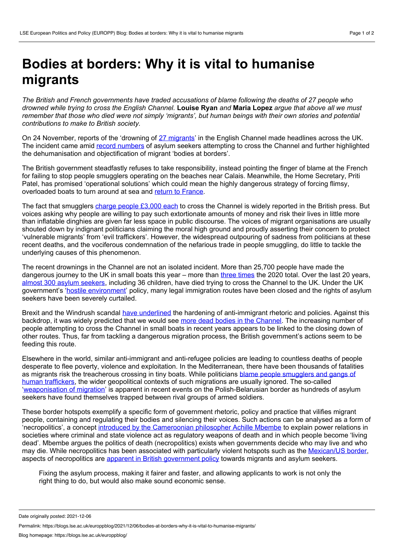## **Bodies at borders: Why it is vital to humanise migrants**

*The British and French governments have traded accusations of blame following the deaths of 27 people who* drowned while trying to cross the English Channel. Louise Ryan and Maria Lopez argue that above all we must remember that those who died were not simply 'migrants', but human beings with their own stories and potential *contributions to make to British society.*

On 24 November, reports of the 'drowning of 27 [migrants](https://www.bbc.co.uk/news/uk-59406355)' in the English Channel made headlines across the UK. The incident came amid record [numbers](https://www.theguardian.com/uk-news/2021/nov/14/union-considers-legal-action-over-channel-refugee-pushbacks) of asylum seekers attempting to cross the Channel and further highlighted the dehumanisation and objectification of migrant 'bodies at borders'.

The British government steadfastly refuses to take responsibility, instead pointing the finger of blame at the French for failing to stop people smugglers operating on the beaches near Calais. Meanwhile, the Home Secretary, Priti Patel, has promised 'operational solutions' which could mean the highly dangerous strategy of forcing flimsy, overloaded boats to turn around at sea and return to [France.](https://www.thenational.scot/news/19625937.tory-conference-priti-patels-pledge-turn-back-boats-receives-applause/)

The fact that smugglers charge people [£3,000](https://www.bbc.co.uk/news/uk-59412329) each to cross the Channel is widely reported in the British press. But voices asking why people are willing to pay such extortionate amounts of money and risk their lives in little more than inflatable dinghies are given far less space in public discourse. The voices of migrant organisations are usually shouted down by indignant politicians claiming the moral high ground and proudly asserting their concern to protect 'vulnerable migrants' from 'evil traffickers'. However, the widespread outpouring of sadness from politicians at these recent deaths, and the vociferous condemnation of the nefarious trade in people smuggling, do little to tackle the underlying causes of this phenomenon.

The recent drownings in the Channel are not an isolated incident. More than 25,700 people have made the dangerous journey to the UK in small boats this year – more than three [times](https://www.bbc.co.uk/news/uk-59375590) the 2020 total. Over the last 20 years, almost 300 asylum [seekers,](https://www.theguardian.com/uk-news/2020/oct/29/almost-300-asylum-seekers-have-died-trying-to-cross-the-channel-since-1999) including 36 children, have died trying to cross the Channel to the UK. Under the UK government's 'hostile [environment](https://journals.sagepub.com/doi/full/10.1177/0038038517702599)' policy, many legal immigration routes have been closed and the rights of asylum seekers have been severely curtailed.

Brexit and the Windrush scandal have [underlined](https://onlinelibrary.wiley.com/doi/full/10.1002/psp.2420) the hardening of anti-immigrant rhetoric and policies. Against this backdrop, it was widely predicted that we would see more dead bodies in the [Channel](https://www.bbc.co.uk/news/uk-england-54715864). The increasing number of people attempting to cross the Channel in small boats in recent years appears to be linked to the closing down of other routes. Thus, far from tackling a dangerous migration process, the British government's actions seem to be feeding this route.

Elsewhere in the world, similar anti-immigrant and anti-refugee policies are leading to countless deaths of people desperate to flee poverty, violence and exploitation. In the Mediterranean, there have been thousands of fatalities as migrants risk the [treacherous](https://journals.sagepub.com/doi/full/10.1177/0038038517702599) crossing in tiny boats. While politicians blame people smugglers and gangs of human traffickers, the wider geopolitical contexts of such migrations are usually ignored. The so-called '[weaponisation](https://www.straitstimes.com/opinion/the-weaponisation-of-migrants-a-new-form-of-warfare) of migration' is apparent in recent events on the Polish-Belarusian border as hundreds of asylum seekers have found themselves trapped between rival groups of armed soldiers.

These border hotspots exemplify a specific form of government rhetoric, policy and practice that vilifies migrant people, containing and regulating their bodies and silencing their voices. Such actions can be analysed as a form of 'necropolitics', a concept introduced by the [Cameroonian](https://muse.jhu.edu/article/39984) philosopher Achille Mbembe to explain power relations in societies where criminal and state violence act as regulatory weapons of death and in which people become 'living dead'. Mbembe argues the politics of death (necropolitics) exists when governments decide who may live and who may die. While necropolitics has been associated with particularly violent hotspots such as the [Mexican/US](https://blogs.lse.ac.uk/latamcaribbean/2018/02/15/femicide-in-ciudad-juarez-is-enabled-by-the-regulation-of-gender-justice-and-production-in-mexico/) border, aspects of necropolitics are apparent in British [government](https://journals.sagepub.com/doi/full/10.1177/0038038519862124) policy towards migrants and asylum seekers.

Fixing the asylum process, making it fairer and faster, and allowing applicants to work is not only the right thing to do, but would also make sound economic sense.

Date originally posted: 2021-12-06

Permalink: https://blogs.lse.ac.uk/europpblog/2021/12/06/bodies-at-borders-why-it-is-vital-to-humanise-migrants/